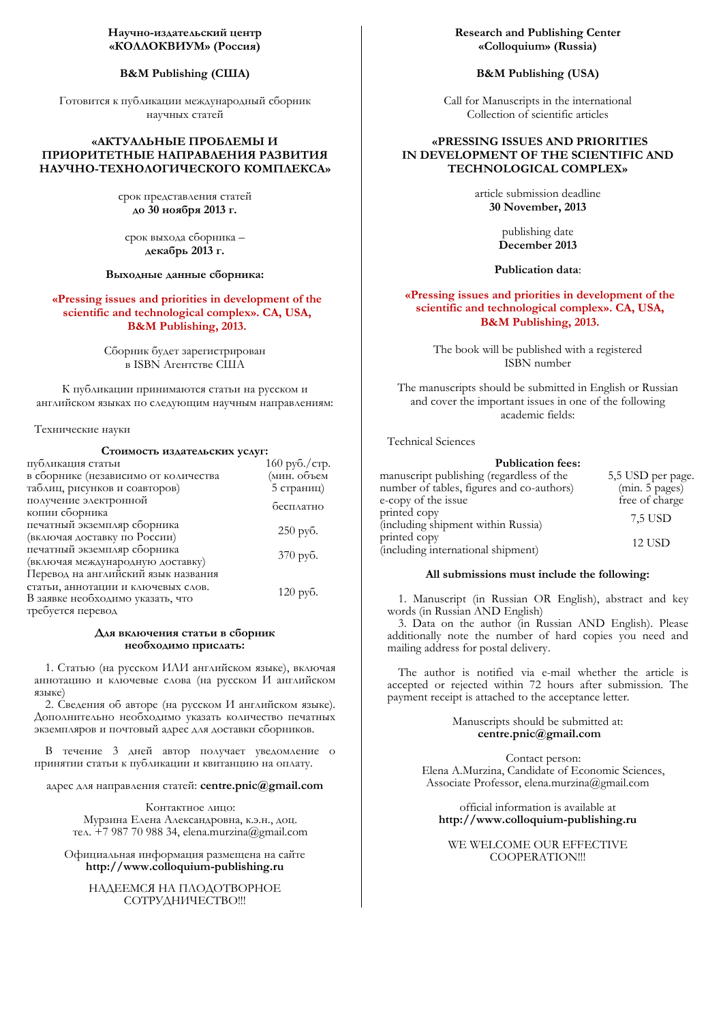## **B&M Publishing (CIIIA)**

Готовится к публикации международный сборник научных статей

# «АКТУАЛЬНЫЕ ПРОБЛЕМЫ И ПРИОРИТЕТНЫЕ НАПРАВЛЕНИЯ РАЗВИТИЯ НАУЧНО-ТЕХНОЛОГИЧЕСКОГО КОМПЛЕКСА»

срок представления статей **DZǻц30цǺǻȌǮǽȌ 2013 ǰ.**

срок выхода сборника декабрь 2013 г.

#### Выходные данные сборника:

**«Pressing issues and priorities in development of the**  scientific and technological complex». CA, USA, **B&M Publishing, 2013.** 

> Сборник будет зарегистрирован в ISBN Агентстве США

К публикации принимаются статьи на русском и английском языках по следующим научным направлениям:

Технические науки

### Стоимость издательских услуг:

| публикация статьи                                                                                                                  | 160 руб./стр.      |
|------------------------------------------------------------------------------------------------------------------------------------|--------------------|
| в сборнике (независимо от количества                                                                                               | (мин. объем        |
| таблиц, рисунков и соавторов)                                                                                                      | 5 страниц)         |
| получение электронной<br>копии сборника                                                                                            | бесплатно          |
| печатный экземпляр сборника<br>(включая доставку по России)                                                                        | $250$ py $6$ .     |
| печатный экземпляр сборника<br>(включая международную доставку)                                                                    | $370 \text{ py6}.$ |
| Перевод на английский язык названия<br>статьи, аннотации и ключевых слов.<br>В заявке необходимо указать, что<br>требуется перевод | $120 \text{ py6}.$ |

#### Для включения статьи в сборник необходимо прислать:

1. Статью (на русском ИЛИ английском языке), включая аннотацию и ключевые слова (на русском И английском языке)

2. Сведения об авторе (на русском И английском языке). Дополнительно необходимо указать количество печатных экземпляров и почтовый адрес для доставки сборников.

В течение 3 дней автор получает уведомление о принятии статьи к публикации и квитанцию на оплату.

адрес для направления статей: centre.pnic@gmail.com

Контактное лицо: Мурзина Елена Александровна, к.э.н., доц. Te $\Lambda$ . +7 987 70 988 34, elena.murzina@gmail.com

Официальная информация размещена на сайте **http://www.colloquium-publishing.ru** 

НАДЕЕМСЯ НА ПЛОДОТВОРНОЕ СОТРУДНИЧЕСТВО !!!

## **Research and Publishing Center «Colloquium» (Russia)**

# **B&M Publishing (USA)**

Call for Manuscripts in the international Collection of scientific articles

# **«PRESSING ISSUES AND PRIORITIES IN DEVELOPMENT OF THE SCIENTIFIC AND TECHNOLOGICAL COMPLEX»**

article submission deadline **30 November, 2013** 

> publishing date **December 2013**

## **Publication data**:

# **«Pressing issues and priorities in development of the**   $s$ cientific and technological complex». CA, USA, **B&M Publishing, 2013.**

The book will be published with a registered ISBN number

The manuscripts should be submitted in English or Russian and cover the important issues in one of the following academic fields:

Technical Sciences

| <b>Publication fees:</b>                  |                   |
|-------------------------------------------|-------------------|
| manuscript publishing (regardless of the  | 5,5 USD per page. |
| number of tables, figures and co-authors) | (min. 5 pages)    |
| e-copy of the issue                       | free of charge    |
| printed copy                              | 7.5 USD           |
| (including shipment within Russia)        |                   |
| printed copy                              | 12 USD            |
| (including international shipment)        |                   |

#### **All submissions must include the following:**

1. Manuscript (in Russian OR English), abstract and key words (in Russian AND English)

3. Data on the author (in Russian AND English). Please additionally note the number of hard copies you need and mailing address for postal delivery.

The author is notified via e-mail whether the article is accepted or rejected within 72 hours after submission. The payment receipt is attached to the acceptance letter.

### Manuscripts should be submitted at: **centre.pnic@gmail.com**

Contact person: Elena A.Murzina, Candidate of Economic Sciences, Associate Professor, elena.murzina@gmail.com

official information is available at **http://www.colloquium-publishing.ru**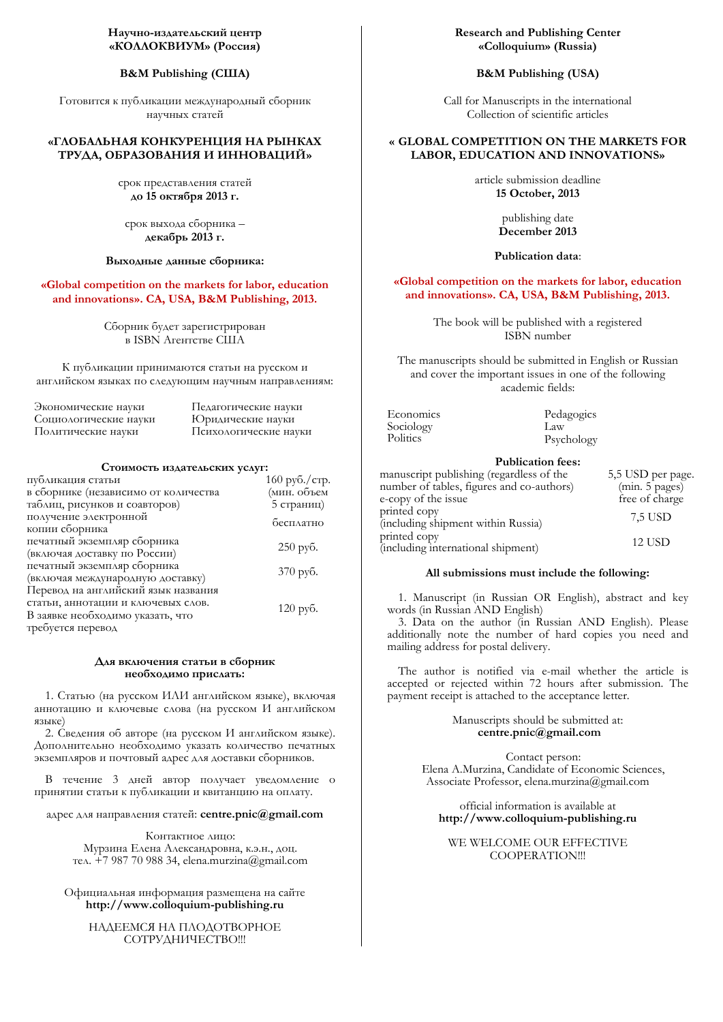## **B&M Publishing (CIIIA)**

Готовится к публикации международный сборник научных статей

# «ГЛОБАЛЬНАЯ КОНКУРЕНЦИЯ НА РЫНКАХ ТРУДА, ОБРАЗОВАНИЯ И ИННОВАЦИЙ»

срок представления статей **DZǻц15 ǻǷǿȌǮǽȌ 2013 ǰ.**

срок выхода сборника декабрь 2013 г.

## Выходные данные сборника:

**«Global competition on the markets for labor, education**  and innovations». CA, USA, B&M Publishing, 2013.

> Сборник будет зарегистрирован **в ISBN Агентстве США**

К публикации принимаются статьи на русском и английском языках по следующим научным направлениям:

| Экономические науки   | Педагогические науки  |
|-----------------------|-----------------------|
| Социологические науки | Юридические науки     |
| Политические науки    | Психологические науки |

#### Стоимость издательских услуг:

| публикация статьи                    | 160 руб./стр.      |
|--------------------------------------|--------------------|
| в сборнике (независимо от количества | (мин. объем        |
| таблиц, рисунков и соавторов)        | 5 страниц)         |
| получение электронной                | бесплатно          |
| копии сборника                       |                    |
| печатный экземпляр сборника          |                    |
| (включая доставку по России)         | $250$ pyb.         |
| печатный экземпляр сборника          | $370 \text{ py6}.$ |
| (включая международную доставку)     |                    |
| Перевод на английский язык названия  |                    |
| статьи, аннотации и ключевых слов.   |                    |
| В заявке необходимо указать, что     | $120 \text{ py6}.$ |
| требуется перевод                    |                    |
|                                      |                    |

### Для включения статьи в сборник необходимо прислать:

1. Статью (на русском ИЛИ английском языке), включая аннотацию и ключевые слова (на русском И английском языке)

2. Сведения об авторе (на русском И английском языке). Дополнительно необходимо указать количество печатных экземпляров и почтовый адрес для доставки сборников.

В течение 3 дней автор получает уведомление о принятии статьи к публикации и квитанцию на оплату.

адрес для направления статей: centre.pnic@gmail.com

Контактное лицо: Мурзина Елена Александровна, к.э.н., доц. Te $\Lambda$ . +7 987 70 988 34, elena.murzina@gmail.com

Официальная информация размещена на сайте **http://www.colloquium-publishing.ru** 

НАЛЕЕМСЯ НА ПЛОЛОТВОРНОЕ СОТРУАНИЧЕСТВО !!!

### **Research and Publishing Center «Colloquium» (Russia)**

### **B&M Publishing (USA)**

Call for Manuscripts in the international Collection of scientific articles

# **« GLOBAL COMPETITION ON THE MARKETS FOR LABOR, EDUCATION AND INNOVATIONS»**

article submission deadline **15 October, 2013** 

> publishing date **December 2013**

#### **Publication data**:

#### **«Global competition on the markets for labor, education**  and innovations». CA, USA, B&M Publishing, 2013.

The book will be published with a registered ISBN number

The manuscripts should be submitted in English or Russian and cover the important issues in one of the following academic fields:

| Economics | Pedagogics |
|-----------|------------|
| Sociology | Law        |
| Politics  | Psychology |

## **Publication fees:**

| manuscript publishing (regardless of the  | 5,5 USD per page. |
|-------------------------------------------|-------------------|
| number of tables, figures and co-authors) | (min. 5 pages)    |
| e-copy of the issue                       | free of charge    |
| printed copy                              | 7.5 USD           |
| (including shipment within Russia)        |                   |
| printed copy                              | <b>12 USD</b>     |
| (including international shipment)        |                   |

#### **All submissions must include the following:**

1. Manuscript (in Russian OR English), abstract and key words (in Russian AND English)

3. Data on the author (in Russian AND English). Please additionally note the number of hard copies you need and mailing address for postal delivery.

The author is notified via e-mail whether the article is accepted or rejected within 72 hours after submission. The payment receipt is attached to the acceptance letter.

> Manuscripts should be submitted at: **centre.pnic@gmail.com**

Contact person: Elena A.Murzina, Candidate of Economic Sciences, Associate Professor, elena.murzina@gmail.com

official information is available at **http://www.colloquium-publishing.ru**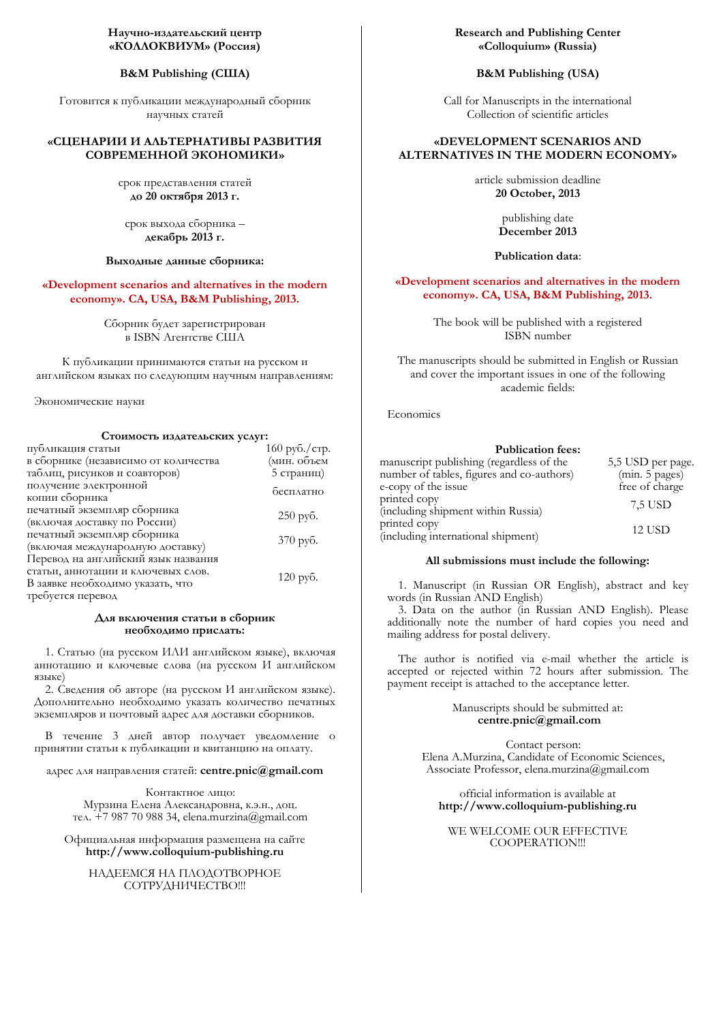## **B&M Publishing (CIIIA)**

Готовится к публикации международный сборник научных статей

# «СЦЕНАРИИ И АЛЬТЕРНАТИВЫ РАЗВИТИЯ СОВРЕМЕННОЙ ЭКОНОМИКИ»

срок представления статей **DZǻц20 ǻǷǿȌǮǽȌ 2013 ǰ.**

срок выхода сборника декабрь 2013 г.

### Выходные данные сборника:

**«Development scenarios and alternatives in the modern economy».** CA, USA, B&M Publishing, 2013.

> Сборник будет зарегистрирован в ISBN Агентстве США

К публикации принимаются статьи на русском и английском языках по следующим научным направлениям:

Экономические науки

#### Стоимость издательских услуг:

| публикация статьи                    | 160 руб./стр.      |
|--------------------------------------|--------------------|
| в сборнике (независимо от количества | (мин. объем        |
| таблиц, рисунков и соавторов)        | 5 страниц)         |
| получение электронной                | бесплатно          |
| копии сборника                       |                    |
| печатный экземпляр сборника          |                    |
| (включая доставку по России)         | $250$ py $6$ .     |
| печатный экземпляр сборника          | 370 руб.           |
| (включая международную доставку)     |                    |
| Перевод на английский язык названия  |                    |
| статьи, аннотации и ключевых слов.   | $120 \text{ py6}.$ |
| В заявке необходимо указать, что     |                    |
| требуется перевод                    |                    |

### Для включения статьи в сборник необходимо прислать:

1. Статью (на русском ИЛИ английском языке), включая аннотацию и ключевые слова (на русском И английском языке)

2. Сведения об авторе (на русском И английском языке). Дополнительно необходимо указать количество печатных экземпляров и почтовый адрес для доставки сборников.

В течение 3 дней автор получает уведомление о принятии статьи к публикации и квитанцию на оплату.

### адрес для направления статей: centre.pnic@gmail.com

Контактное лицо: Мурзина Елена Александровна, к.э.н., доц. тел.  $+7$  987 70 988 34, elena.murzina@gmail.com

Официальная информация размещена на сайте **http://www.colloquium-publishing.ru** 

НАДЕЕМСЯ НА ПЛОДОТВОРНОЕ СОТРУДНИЧЕСТВО !!!

**Research and Publishing Center «Colloquium» (Russia)** 

### **B&M Publishing (USA)**

Call for Manuscripts in the international Collection of scientific articles

# **«DEVELOPMENT SCENARIOS AND ALTERNATIVES IN THE MODERN ECONOMY»**

article submission deadline **20 October, 2013** 

> publishing date **December 2013**

#### **Publication data**:

### **«Development scenarios and alternatives in the modern**  есопоту». СА, USA, B&M Publishing, 2013.

The book will be published with a registered ISBN number

The manuscripts should be submitted in English or Russian and cover the important issues in one of the following academic fields:

Economics

#### **Publication fees:**

| manuscript publishing (regardless of the  | 5,5 USD per page. |
|-------------------------------------------|-------------------|
| number of tables, figures and co-authors) | (min. 5 pages)    |
| e-copy of the issue                       | free of charge    |
| printed copy                              | 7.5 USD           |
| (including shipment within Russia)        |                   |
| printed copy                              | 12 USD            |
| (including international shipment)        |                   |

#### **All submissions must include the following:**

1. Manuscript (in Russian OR English), abstract and key words (in Russian AND English)

3. Data on the author (in Russian AND English). Please additionally note the number of hard copies you need and mailing address for postal delivery.

The author is notified via e-mail whether the article is accepted or rejected within 72 hours after submission. The payment receipt is attached to the acceptance letter.

#### Manuscripts should be submitted at: **centre.pnic@gmail.com**

Contact person: Elena A.Murzina, Candidate of Economic Sciences, Associate Professor, elena.murzina@gmail.com

official information is available at **http://www.colloquium-publishing.ru**